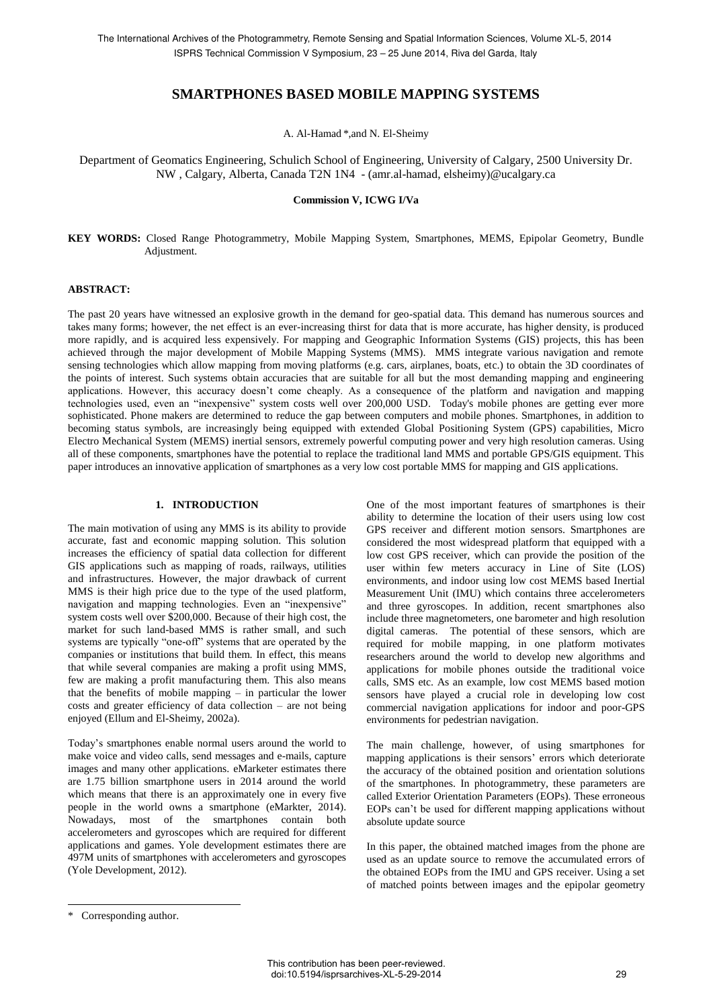# **SMARTPHONES BASED MOBILE MAPPING SYSTEMS**

A. Al-Hamad \*,and N. El-Sheimy

Department of Geomatics Engineering, Schulich School of Engineering, University of Calgary, 2500 University Dr. NW , Calgary, Alberta, Canada T2N 1N4 - (amr.al-hamad, elsheimy)@ucalgary.ca

## **Commission V, ICWG I/Va**

**KEY WORDS:** Closed Range Photogrammetry, Mobile Mapping System, Smartphones, MEMS, Epipolar Geometry, Bundle Adjustment.

## **ABSTRACT:**

The past 20 years have witnessed an explosive growth in the demand for geo-spatial data. This demand has numerous sources and takes many forms; however, the net effect is an ever-increasing thirst for data that is more accurate, has higher density, is produced more rapidly, and is acquired less expensively. For mapping and Geographic Information Systems (GIS) projects, this has been achieved through the major development of Mobile Mapping Systems (MMS). MMS integrate various navigation and remote sensing technologies which allow mapping from moving platforms (e.g. cars, airplanes, boats, etc.) to obtain the 3D coordinates of the points of interest. Such systems obtain accuracies that are suitable for all but the most demanding mapping and engineering applications. However, this accuracy doesn't come cheaply. As a consequence of the platform and navigation and mapping technologies used, even an "inexpensive" system costs well over 200,000 USD. Today's mobile phones are getting ever more sophisticated. Phone makers are determined to reduce the gap between computers and mobile phones. Smartphones, in addition to becoming status symbols, are increasingly being equipped with extended Global Positioning System (GPS) capabilities, Micro Electro Mechanical System (MEMS) inertial sensors, extremely powerful computing power and very high resolution cameras. Using all of these components, smartphones have the potential to replace the traditional land MMS and portable GPS/GIS equipment. This paper introduces an innovative application of smartphones as a very low cost portable MMS for mapping and GIS applications.

# **1. INTRODUCTION**

The main motivation of using any MMS is its ability to provide accurate, fast and economic mapping solution. This solution increases the efficiency of spatial data collection for different GIS applications such as mapping of roads, railways, utilities and infrastructures. However, the major drawback of current MMS is their high price due to the type of the used platform, navigation and mapping technologies. Even an "inexpensive" system costs well over \$200,000. Because of their high cost, the market for such land-based MMS is rather small, and such systems are typically "one-off" systems that are operated by the companies or institutions that build them. In effect, this means that while several companies are making a profit using MMS, few are making a profit manufacturing them. This also means that the benefits of mobile mapping – in particular the lower costs and greater efficiency of data collection – are not being enjoyed (Ellum and El-Sheimy, 2002a).

Today's smartphones enable normal users around the world to make voice and video calls, send messages and e-mails, capture images and many other applications. eMarketer estimates there are 1.75 billion smartphone users in 2014 around the world which means that there is an approximately one in every five people in the world owns a smartphone (eMarkter, 2014). Nowadays, most of the smartphones contain both accelerometers and gyroscopes which are required for different applications and games. Yole development estimates there are 497M units of smartphones with accelerometers and gyroscopes (Yole Development, 2012).

One of the most important features of smartphones is their ability to determine the location of their users using low cost GPS receiver and different motion sensors. Smartphones are considered the most widespread platform that equipped with a low cost GPS receiver, which can provide the position of the user within few meters accuracy in Line of Site (LOS) environments, and indoor using low cost MEMS based Inertial Measurement Unit (IMU) which contains three accelerometers and three gyroscopes. In addition, recent smartphones also include three magnetometers, one barometer and high resolution digital cameras. The potential of these sensors, which are required for mobile mapping, in one platform motivates researchers around the world to develop new algorithms and applications for mobile phones outside the traditional voice calls, SMS etc. As an example, low cost MEMS based motion sensors have played a crucial role in developing low cost commercial navigation applications for indoor and poor-GPS environments for pedestrian navigation.

The main challenge, however, of using smartphones for mapping applications is their sensors' errors which deteriorate the accuracy of the obtained position and orientation solutions of the smartphones. In photogrammetry, these parameters are called Exterior Orientation Parameters (EOPs). These erroneous EOPs can't be used for different mapping applications without absolute update source

In this paper, the obtained matched images from the phone are used as an update source to remove the accumulated errors of the obtained EOPs from the IMU and GPS receiver. Using a set of matched points between images and the epipolar geometry

 $\overline{a}$ 

<sup>\*</sup> Corresponding author.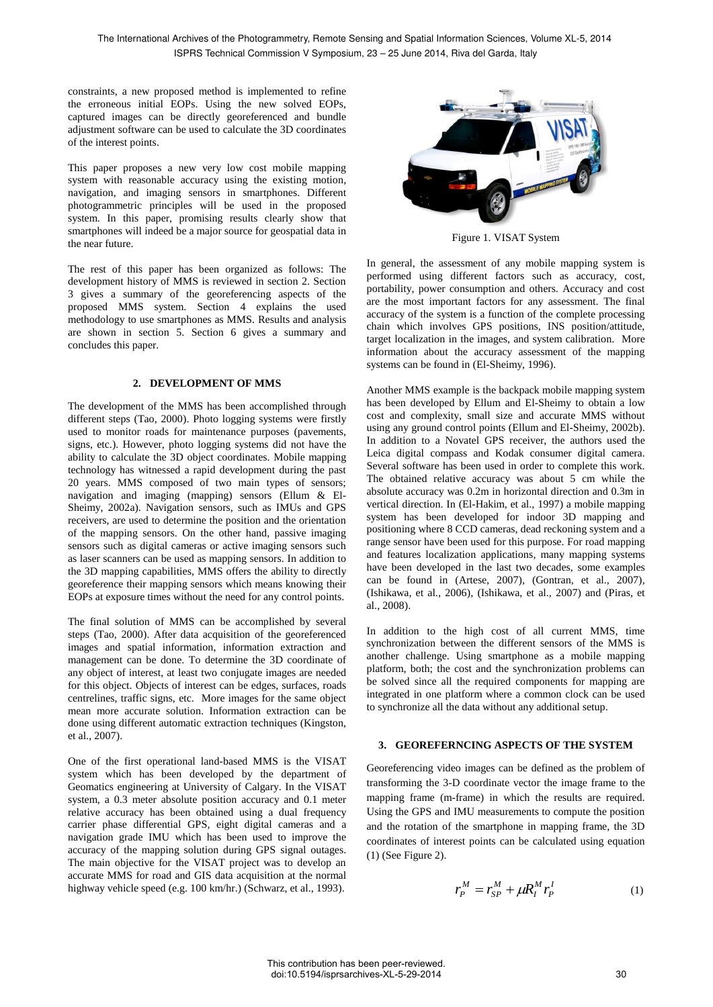constraints, a new proposed method is implemented to refine the erroneous initial EOPs. Using the new solved EOPs, captured images can be directly georeferenced and bundle adjustment software can be used to calculate the 3D coordinates of the interest points.

This paper proposes a new very low cost mobile mapping system with reasonable accuracy using the existing motion, navigation, and imaging sensors in smartphones. Different photogrammetric principles will be used in the proposed system. In this paper, promising results clearly show that smartphones will indeed be a major source for geospatial data in the near future.

The rest of this paper has been organized as follows: The development history of MMS is reviewed in section 2. Section 3 gives a summary of the georeferencing aspects of the proposed MMS system. Section 4 explains the used methodology to use smartphones as MMS. Results and analysis are shown in section 5. Section 6 gives a summary and concludes this paper.

## **2. DEVELOPMENT OF MMS**

The development of the MMS has been accomplished through different steps (Tao, 2000). Photo logging systems were firstly used to monitor roads for maintenance purposes (pavements, signs, etc.). However, photo logging systems did not have the ability to calculate the 3D object coordinates. Mobile mapping technology has witnessed a rapid development during the past 20 years. MMS composed of two main types of sensors; navigation and imaging (mapping) sensors (Ellum & El-Sheimy, 2002a). Navigation sensors, such as IMUs and GPS receivers, are used to determine the position and the orientation of the mapping sensors. On the other hand, passive imaging sensors such as digital cameras or active imaging sensors such as laser scanners can be used as mapping sensors. In addition to the 3D mapping capabilities, MMS offers the ability to directly georeference their mapping sensors which means knowing their EOPs at exposure times without the need for any control points.

The final solution of MMS can be accomplished by several steps (Tao, 2000). After data acquisition of the georeferenced images and spatial information, information extraction and management can be done. To determine the 3D coordinate of any object of interest, at least two conjugate images are needed for this object. Objects of interest can be edges, surfaces, roads centrelines, traffic signs, etc. More images for the same object mean more accurate solution. Information extraction can be done using different automatic extraction techniques (Kingston, et al., 2007).

One of the first operational land-based MMS is the VISAT system which has been developed by the department of Geomatics engineering at University of Calgary. In the VISAT system, a 0.3 meter absolute position accuracy and 0.1 meter relative accuracy has been obtained using a dual frequency carrier phase differential GPS, eight digital cameras and a navigation grade IMU which has been used to improve the accuracy of the mapping solution during GPS signal outages. The main objective for the VISAT project was to develop an accurate MMS for road and GIS data acquisition at the normal highway vehicle speed (e.g. 100 km/hr.) (Schwarz, et al., 1993).



Figure 1. VISAT System

In general, the assessment of any mobile mapping system is performed using different factors such as accuracy, cost, portability, power consumption and others. Accuracy and cost are the most important factors for any assessment. The final accuracy of the system is a function of the complete processing chain which involves GPS positions, INS position/attitude, target localization in the images, and system calibration. More information about the accuracy assessment of the mapping systems can be found in (El-Sheimy, 1996).

Another MMS example is the backpack mobile mapping system has been developed by Ellum and El-Sheimy to obtain a low cost and complexity, small size and accurate MMS without using any ground control points (Ellum and El-Sheimy, 2002b). In addition to a Novatel GPS receiver, the authors used the Leica digital compass and Kodak consumer digital camera. Several software has been used in order to complete this work. The obtained relative accuracy was about 5 cm while the absolute accuracy was 0.2m in horizontal direction and 0.3m in vertical direction. In (El-Hakim, et al., 1997) a mobile mapping system has been developed for indoor 3D mapping and positioning where 8 CCD cameras, dead reckoning system and a range sensor have been used for this purpose. For road mapping and features localization applications, many mapping systems have been developed in the last two decades, some examples can be found in (Artese, 2007), (Gontran, et al., 2007), (Ishikawa, et al., 2006), (Ishikawa, et al., 2007) and (Piras, et al., 2008).

In addition to the high cost of all current MMS, time synchronization between the different sensors of the MMS is another challenge. Using smartphone as a mobile mapping platform, both; the cost and the synchronization problems can be solved since all the required components for mapping are integrated in one platform where a common clock can be used to synchronize all the data without any additional setup.

### **3. GEOREFERNCING ASPECTS OF THE SYSTEM**

Georeferencing video images can be defined as the problem of transforming the 3-D coordinate vector the image frame to the mapping frame (m-frame) in which the results are required. Using the GPS and IMU measurements to compute the position and the rotation of the smartphone in mapping frame, the 3D coordinates of interest points can be calculated using equation (1) (See Figure 2).

$$
r_P^M = r_{SP}^M + \mu R_I^M r_P^I \tag{1}
$$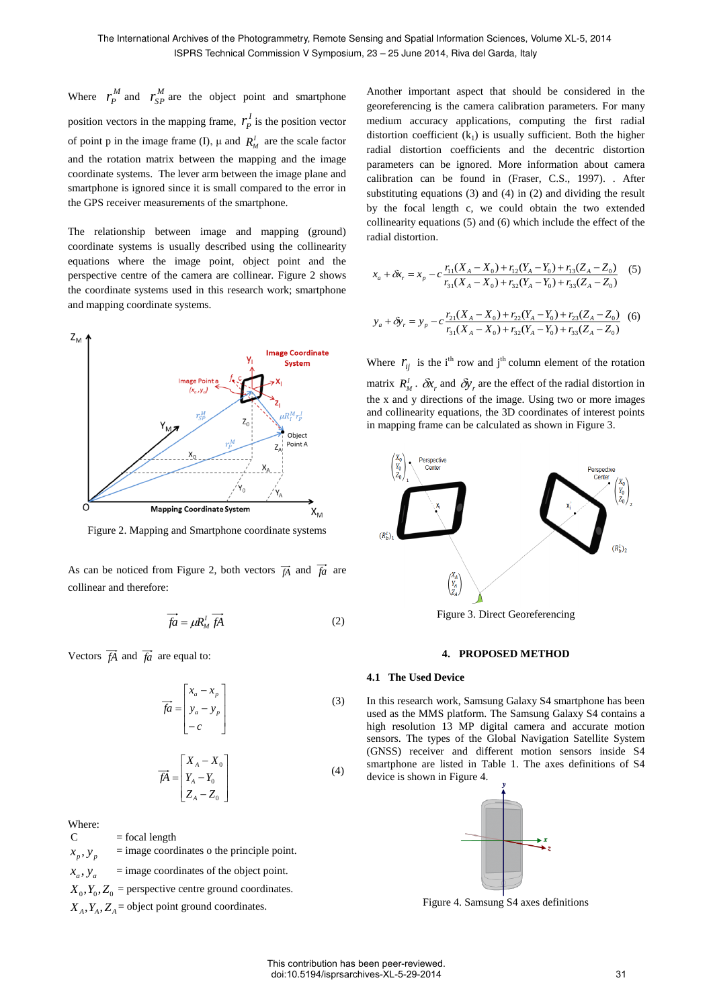Where  $r_p^M$  $r_p^M$  and  $r_{SP}^M$  are the object point and smartphone position vectors in the mapping frame,  $r_p^l$  $r_P^I$  is the position vector of point p in the image frame (I),  $\mu$  and  $R_M^I$  are the scale factor and the rotation matrix between the mapping and the image coordinate systems. The lever arm between the image plane and smartphone is ignored since it is small compared to the error in the GPS receiver measurements of the smartphone.

The relationship between image and mapping (ground) coordinate systems is usually described using the collinearity equations where the image point, object point and the perspective centre of the camera are collinear. Figure 2 shows the coordinate systems used in this research work; smartphone and mapping coordinate systems.



Figure 2. Mapping and Smartphone coordinate systems

As can be noticed from Figure 2, both vectors  $\overrightarrow{f}$  and  $\overrightarrow{f}$  are collinear and therefore:

$$
\overrightarrow{fa} = \mu R_M^l \overrightarrow{fA} \tag{2}
$$

Vectors  $\overrightarrow{fA}$  and  $\overrightarrow{fa}$  are equal to:

$$
\overrightarrow{fa} = \begin{bmatrix} x_a - x_p \\ y_a - y_p \\ -c \end{bmatrix}
$$
 (3)

$$
\overrightarrow{fA} = \begin{bmatrix} X_A - X_0 \\ Y_A - Y_0 \\ Z_A - Z_0 \end{bmatrix}
$$
 (4)

Where:

 $C = focal length$ 

- $x_p, y_p$  = image coordinates o the principle point.
- $x_a, y_a$  = image coordinates of the object point.

 $X_0, Y_0, Z_0$  = perspective centre ground coordinates.

 $X_A, Y_A, Z_A$  = object point ground coordinates.

Another important aspect that should be considered in the georeferencing is the camera calibration parameters. For many medium accuracy applications, computing the first radial distortion coefficient  $(k_1)$  is usually sufficient. Both the higher radial distortion coefficients and the decentric distortion parameters can be ignored. More information about camera calibration can be found in (Fraser, C.S., 1997). . After substituting equations (3) and (4) in (2) and dividing the result by the focal length c, we could obtain the two extended collinearity equations (5) and (6) which include the effect of the radial distortion.

$$
x_a + \delta x_r = x_p - c \frac{r_{11}(X_A - X_0) + r_{12}(Y_A - Y_0) + r_{13}(Z_A - Z_0)}{r_{31}(X_A - X_0) + r_{32}(Y_A - Y_0) + r_{33}(Z_A - Z_0)}
$$
(5)

$$
y_a + \delta y_r = y_p - c \frac{r_{21}(X_A - X_0) + r_{22}(Y_A - Y_0) + r_{23}(Z_A - Z_0)}{r_{31}(X_A - X_0) + r_{32}(Y_A - Y_0) + r_{33}(Z_A - Z_0)}
$$
 (6)

Where  $r_{ij}$  is the i<sup>th</sup> row and j<sup>th</sup> column element of the rotation matrix  $R_M^I$ .  $\delta x_r$  and  $\delta y_r$  are the effect of the radial distortion in the x and y directions of the image. Using two or more images and collinearity equations, the 3D coordinates of interest points in mapping frame can be calculated as shown in Figure 3.



Figure 3. Direct Georeferencing

### **4. PROPOSED METHOD**

### **4.1 The Used Device**

In this research work, Samsung Galaxy S4 smartphone has been used as the MMS platform. The Samsung Galaxy S4 contains a high resolution 13 MP digital camera and accurate motion sensors. The types of the Global Navigation Satellite System (GNSS) receiver and different motion sensors inside S4 smartphone are listed in Table 1. The axes definitions of S4 device is shown in Figure 4.



Figure 4. Samsung S4 axes definitions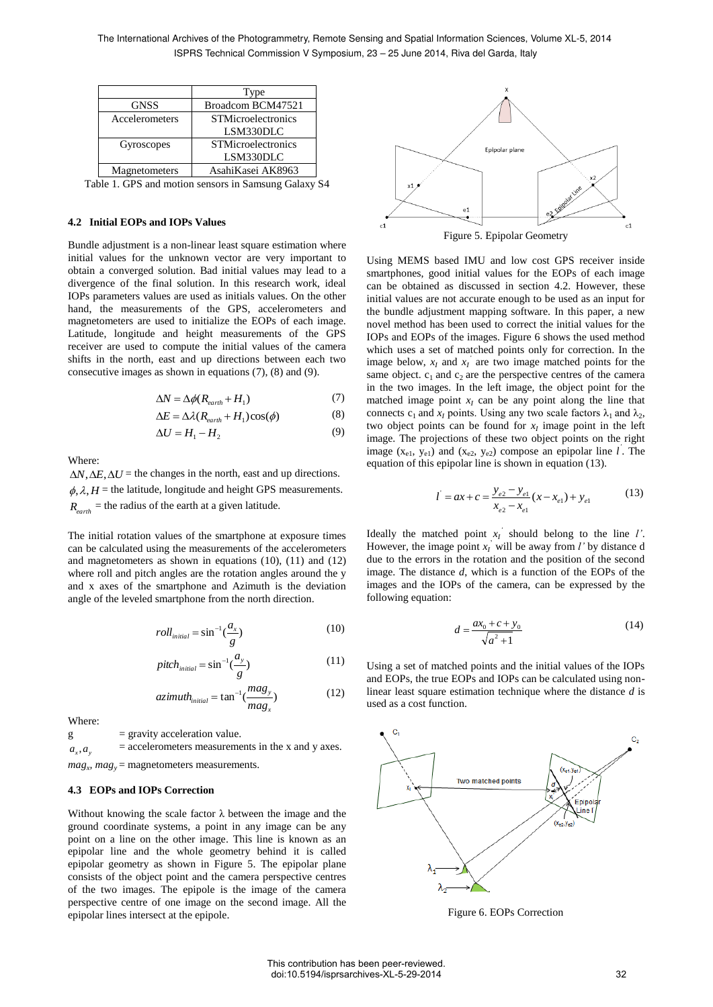|                | Type                      |  |  |
|----------------|---------------------------|--|--|
| <b>GNSS</b>    | Broadcom BCM47521         |  |  |
| Accelerometers | <b>STMicroelectronics</b> |  |  |
|                | LSM330DLC                 |  |  |
| Gyroscopes     | <b>STMicroelectronics</b> |  |  |
|                | LSM330DLC                 |  |  |
| Magnetometers  | AsahiKasei AK8963         |  |  |

Table 1. GPS and motion sensors in Samsung Galaxy S4

### **4.2 Initial EOPs and IOPs Values**

Bundle adjustment is a non-linear least square estimation where initial values for the unknown vector are very important to obtain a converged solution. Bad initial values may lead to a divergence of the final solution. In this research work, ideal IOPs parameters values are used as initials values. On the other hand, the measurements of the GPS, accelerometers and magnetometers are used to initialize the EOPs of each image. Latitude, longitude and height measurements of the GPS receiver are used to compute the initial values of the camera shifts in the north, east and up directions between each two consecutive images as shown in equations (7), (8) and (9).

$$
\Delta N = \Delta \phi (R_{earth} + H_1) \tag{7}
$$

$$
\Delta E = \Delta \lambda (R_{earth} + H_1) \cos(\phi) \tag{8}
$$

$$
\Delta U = H_1 - H_2 \tag{9}
$$

Where:

 $\Delta N$ ,  $\Delta E$ ,  $\Delta U$  = the changes in the north, east and up directions.  $\phi$ ,  $\lambda$ ,  $H$  = the latitude, longitude and height GPS measurements.  $R_{earth}$  = the radius of the earth at a given latitude.

The initial rotation values of the smartphone at exposure times can be calculated using the measurements of the accelerometers and magnetometers as shown in equations (10), (11) and (12) where roll and pitch angles are the rotation angles around the y and x axes of the smartphone and Azimuth is the deviation angle of the leveled smartphone from the north direction.

$$
roll_{initial} = \sin^{-1}(\frac{a_x}{g})
$$
 (10)

$$
pitch_{initial} = \sin^{-1}(\frac{a_y}{g})
$$
\n(11)

$$
azimuth_{initial} = \tan^{-1}(\frac{mag_y}{mag_x})
$$
 (12)

Where:

 $g =$  gravity acceleration value.  $a_x$ ,  $a_y$  $=$  accelerometers measurements in the x and y axes.  $mag_x$ ,  $mag_y$  = magnetometers measurements.

### **4.3 EOPs and IOPs Correction**

Without knowing the scale factor  $\lambda$  between the image and the ground coordinate systems, a point in any image can be any point on a line on the other image. This line is known as an epipolar line and the whole geometry behind it is called epipolar geometry as shown in Figure 5. The epipolar plane consists of the object point and the camera perspective centres of the two images. The epipole is the image of the camera perspective centre of one image on the second image. All the epipolar lines intersect at the epipole.



Using MEMS based IMU and low cost GPS receiver inside smartphones, good initial values for the EOPs of each image can be obtained as discussed in section 4.2. However, these initial values are not accurate enough to be used as an input for the bundle adjustment mapping software. In this paper, a new novel method has been used to correct the initial values for the IOPs and EOPs of the images. Figure 6 shows the used method which uses a set of matched points only for correction. In the image below,  $x_I$  and  $x_I$ <sup>'</sup> are two image matched points for the same object.  $c_1$  and  $c_2$  are the perspective centres of the camera in the two images. In the left image, the object point for the matched image point  $x_I$  can be any point along the line that connects  $c_1$  and  $x_I$  points. Using any two scale factors  $\lambda_1$  and  $\lambda_2$ , two object points can be found for  $x_I$  image point in the left image. The projections of these two object points on the right image  $(x_{e1}, y_{e1})$  and  $(x_{e2}, y_{e2})$  compose an epipolar line *l*. The equation of this epipolar line is shown in equation (13).

$$
l^{'} = ax + c = \frac{y_{e2} - y_{e1}}{x_{e2} - x_{e1}}(x - x_{e1}) + y_{e1}
$$
 (13)

Ideally the matched point  $x_I$ <sup>'</sup> should belong to the line *l'*. However, the image point  $x_I$  will be away from *l'* by distance d due to the errors in the rotation and the position of the second image. The distance *d*, which is a function of the EOPs of the images and the IOPs of the camera, can be expressed by the following equation:

$$
d = \frac{ax_0 + c + y_0}{\sqrt{a^2 + 1}}\tag{14}
$$

Using a set of matched points and the initial values of the IOPs and EOPs, the true EOPs and IOPs can be calculated using nonlinear least square estimation technique where the distance *d* is used as a cost function.



Figure 6. EOPs Correction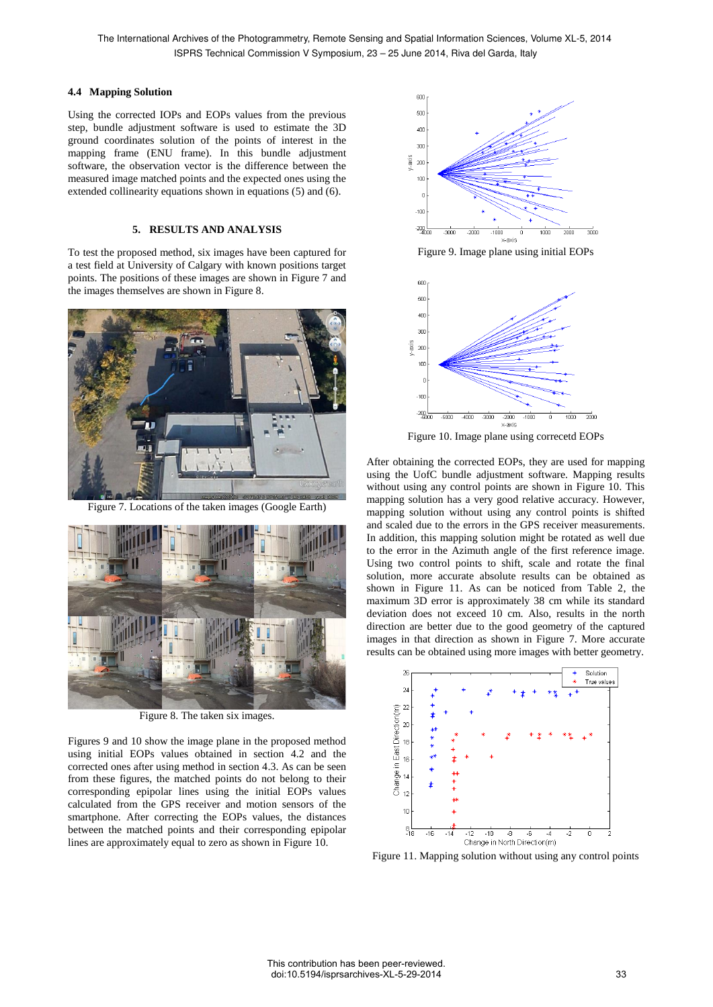## **4.4 Mapping Solution**

Using the corrected IOPs and EOPs values from the previous step, bundle adjustment software is used to estimate the 3D ground coordinates solution of the points of interest in the mapping frame (ENU frame). In this bundle adjustment software, the observation vector is the difference between the measured image matched points and the expected ones using the extended collinearity equations shown in equations (5) and (6).

# **5. RESULTS AND ANALYSIS**

To test the proposed method, six images have been captured for a test field at University of Calgary with known positions target points. The positions of these images are shown in Figure 7 and the images themselves are shown in Figure 8.



Figure 7. Locations of the taken images (Google Earth)



Figure 8. The taken six images.

Figures 9 and 10 show the image plane in the proposed method using initial EOPs values obtained in section 4.2 and the corrected ones after using method in section 4.3. As can be seen from these figures, the matched points do not belong to their corresponding epipolar lines using the initial EOPs values calculated from the GPS receiver and motion sensors of the smartphone. After correcting the EOPs values, the distances between the matched points and their corresponding epipolar lines are approximately equal to zero as shown in Figure 10.



Figure 9. Image plane using initial EOPs



Figure 10. Image plane using correcetd EOPs

After obtaining the corrected EOPs, they are used for mapping using the UofC bundle adjustment software. Mapping results without using any control points are shown in Figure 10. This mapping solution has a very good relative accuracy. However, mapping solution without using any control points is shifted and scaled due to the errors in the GPS receiver measurements. In addition, this mapping solution might be rotated as well due to the error in the Azimuth angle of the first reference image. Using two control points to shift, scale and rotate the final solution, more accurate absolute results can be obtained as shown in Figure 11. As can be noticed from Table 2, the maximum 3D error is approximately 38 cm while its standard deviation does not exceed 10 cm. Also, results in the north direction are better due to the good geometry of the captured images in that direction as shown in Figure 7. More accurate results can be obtained using more images with better geometry.



Figure 11. Mapping solution without using any control points